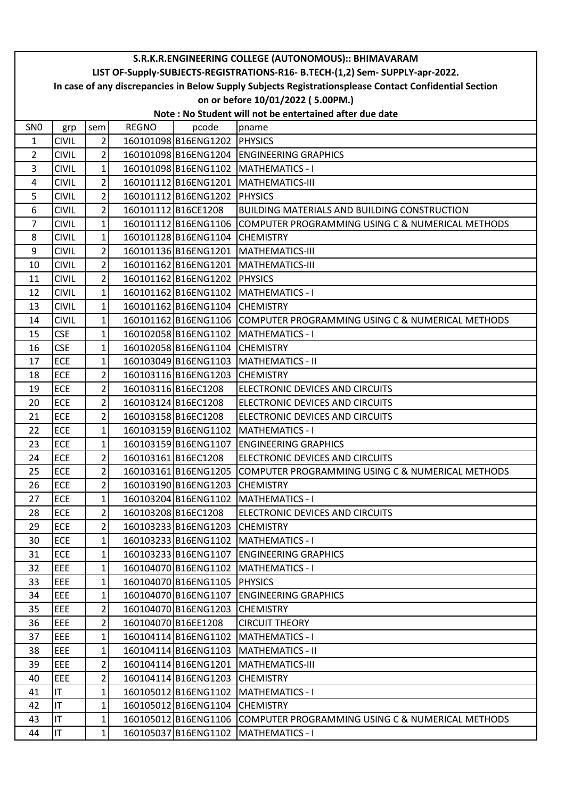|                                                                               | S.R.K.R.ENGINEERING COLLEGE (AUTONOMOUS):: BHIMAVARAM                                                  |                |              |                                |                                                                       |  |  |  |  |
|-------------------------------------------------------------------------------|--------------------------------------------------------------------------------------------------------|----------------|--------------|--------------------------------|-----------------------------------------------------------------------|--|--|--|--|
| LIST OF-Supply-SUBJECTS-REGISTRATIONS-R16- B.TECH-(1,2) Sem- SUPPLY-apr-2022. |                                                                                                        |                |              |                                |                                                                       |  |  |  |  |
|                                                                               | In case of any discrepancies in Below Supply Subjects Registrationsplease Contact Confidential Section |                |              |                                |                                                                       |  |  |  |  |
| on or before 10/01/2022 (5.00PM.)                                             |                                                                                                        |                |              |                                |                                                                       |  |  |  |  |
| Note: No Student will not be entertained after due date                       |                                                                                                        |                |              |                                |                                                                       |  |  |  |  |
| SN <sub>0</sub>                                                               | grp                                                                                                    | sem            | <b>REGNO</b> | pcode                          | pname                                                                 |  |  |  |  |
| 1                                                                             | <b>CIVIL</b>                                                                                           | 2              |              | 160101098 B16ENG1202 PHYSICS   |                                                                       |  |  |  |  |
| $\overline{2}$                                                                | <b>CIVIL</b>                                                                                           | $\overline{2}$ |              |                                | 160101098 B16ENG1204 ENGINEERING GRAPHICS                             |  |  |  |  |
| 3                                                                             | <b>CIVIL</b>                                                                                           | $\mathbf{1}$   |              |                                | 160101098 B16ENG1102 MATHEMATICS - I                                  |  |  |  |  |
| 4                                                                             | <b>CIVIL</b>                                                                                           | $\overline{2}$ |              |                                | 160101112 B16ENG1201 MATHEMATICS-III                                  |  |  |  |  |
| 5                                                                             | <b>CIVIL</b>                                                                                           | $\overline{2}$ |              | 160101112 B16ENG1202 PHYSICS   |                                                                       |  |  |  |  |
| 6                                                                             | <b>CIVIL</b>                                                                                           | $\overline{2}$ |              | 160101112B16CE1208             | <b>BUILDING MATERIALS AND BUILDING CONSTRUCTION</b>                   |  |  |  |  |
| 7                                                                             | <b>CIVIL</b>                                                                                           | $\mathbf 1$    |              |                                | 160101112 B16ENG1106 COMPUTER PROGRAMMING USING C & NUMERICAL METHODS |  |  |  |  |
| 8                                                                             | <b>CIVIL</b>                                                                                           | $\mathbf 1$    |              | 160101128B16ENG1104            | <b>CHEMISTRY</b>                                                      |  |  |  |  |
| $\boldsymbol{9}$                                                              | <b>CIVIL</b>                                                                                           | $\overline{2}$ |              |                                | 160101136 B16ENG1201 MATHEMATICS-III                                  |  |  |  |  |
| 10                                                                            | <b>CIVIL</b>                                                                                           | $\overline{2}$ |              |                                | 160101162 B16ENG1201 MATHEMATICS-III                                  |  |  |  |  |
| 11                                                                            | <b>CIVIL</b>                                                                                           | $\overline{2}$ |              | 160101162 B16ENG1202           | <b>PHYSICS</b>                                                        |  |  |  |  |
| 12                                                                            | <b>CIVIL</b>                                                                                           | $\mathbf{1}$   |              |                                | 160101162 B16ENG1102 MATHEMATICS - I                                  |  |  |  |  |
| 13                                                                            | <b>CIVIL</b>                                                                                           | 1              |              | 160101162 B16ENG1104           | <b>CHEMISTRY</b>                                                      |  |  |  |  |
| 14                                                                            | <b>CIVIL</b>                                                                                           | 1              |              |                                | 160101162 B16ENG1106 COMPUTER PROGRAMMING USING C & NUMERICAL METHODS |  |  |  |  |
| 15                                                                            | <b>CSE</b>                                                                                             | $\mathbf 1$    |              |                                | 160102058 B16ENG1102 MATHEMATICS - I                                  |  |  |  |  |
| 16                                                                            | <b>CSE</b>                                                                                             | $\mathbf 1$    |              | 160102058 B16ENG1104           | <b>CHEMISTRY</b>                                                      |  |  |  |  |
| 17                                                                            | ECE                                                                                                    | $\mathbf{1}$   |              |                                | 160103049 B16ENG1103 MATHEMATICS - II                                 |  |  |  |  |
| 18                                                                            | ECE                                                                                                    | 2              |              | 160103116B16ENG1203            | <b>CHEMISTRY</b>                                                      |  |  |  |  |
| 19                                                                            | ECE                                                                                                    | $\overline{2}$ |              | 160103116B16EC1208             | ELECTRONIC DEVICES AND CIRCUITS                                       |  |  |  |  |
| 20                                                                            | ECE                                                                                                    | 2              |              | 160103124 B16EC1208            | ELECTRONIC DEVICES AND CIRCUITS                                       |  |  |  |  |
| 21                                                                            | <b>ECE</b>                                                                                             | $\overline{2}$ |              | 160103158 B16EC1208            | ELECTRONIC DEVICES AND CIRCUITS                                       |  |  |  |  |
| 22                                                                            | <b>ECE</b>                                                                                             | $\mathbf{1}$   |              |                                | 160103159 B16ENG1102 MATHEMATICS - I                                  |  |  |  |  |
| 23                                                                            | <b>ECE</b>                                                                                             | 1              |              | 160103159 B16ENG1107           | <b>ENGINEERING GRAPHICS</b>                                           |  |  |  |  |
| 24                                                                            | ECE                                                                                                    | $\overline{2}$ |              | 160103161B16EC1208             | ELECTRONIC DEVICES AND CIRCUITS                                       |  |  |  |  |
| 25                                                                            | <b>ECE</b>                                                                                             | 2 <sup>1</sup> |              | 160103161 B16ENG1205           | COMPUTER PROGRAMMING USING C & NUMERICAL METHODS                      |  |  |  |  |
| 26                                                                            | <b>ECE</b>                                                                                             | $\overline{2}$ |              | 160103190 B16ENG1203 CHEMISTRY |                                                                       |  |  |  |  |
| 27                                                                            | <b>ECE</b>                                                                                             | 1              |              |                                | 160103204 B16ENG1102   MATHEMATICS - I                                |  |  |  |  |
| 28                                                                            | <b>ECE</b>                                                                                             | $\overline{2}$ |              | 160103208B16EC1208             | ELECTRONIC DEVICES AND CIRCUITS                                       |  |  |  |  |
| 29                                                                            | ECE                                                                                                    | $\mathbf{2}$   |              | 160103233 B16ENG1203 CHEMISTRY |                                                                       |  |  |  |  |
| 30                                                                            | ECE                                                                                                    | 1              |              |                                | 160103233 B16ENG1102   MATHEMATICS - I                                |  |  |  |  |
| 31                                                                            | <b>ECE</b>                                                                                             | $\mathbf{1}$   |              |                                | 160103233 B16ENG1107 ENGINEERING GRAPHICS                             |  |  |  |  |
| 32                                                                            | EEE                                                                                                    | 1              |              | 160104070 B16ENG1102           | <b>MATHEMATICS - I</b>                                                |  |  |  |  |
| 33                                                                            | <b>EEE</b>                                                                                             | 1              |              | 160104070 B16ENG1105 PHYSICS   |                                                                       |  |  |  |  |
| 34                                                                            | EEE                                                                                                    | $\mathbf{1}$   |              |                                | 160104070 B16ENG1107 ENGINEERING GRAPHICS                             |  |  |  |  |
| 35                                                                            | EEE                                                                                                    | 2              |              | 160104070 B16ENG1203 CHEMISTRY |                                                                       |  |  |  |  |
| 36                                                                            | EEE                                                                                                    | 2              |              | 160104070 B16EE1208            | <b>CIRCUIT THEORY</b>                                                 |  |  |  |  |
| 37                                                                            | EEE                                                                                                    | 1              |              | 160104114 B16ENG1102           | <b>MATHEMATICS - I</b>                                                |  |  |  |  |
| 38                                                                            | EEE                                                                                                    | $\mathbf{1}$   |              |                                | 160104114 B16ENG1103   MATHEMATICS - II                               |  |  |  |  |
| 39                                                                            | EEE                                                                                                    | 2              |              |                                | 160104114 B16ENG1201   MATHEMATICS-III                                |  |  |  |  |
| 40                                                                            | EEE                                                                                                    | $\overline{2}$ |              | 160104114 B16ENG1203 CHEMISTRY |                                                                       |  |  |  |  |
| 41                                                                            | <b>IT</b>                                                                                              | $\mathbf{1}$   |              |                                | 160105012 B16ENG1102 MATHEMATICS - I                                  |  |  |  |  |
| 42                                                                            | IT                                                                                                     | 1              |              | 160105012 B16ENG1104           | <b>CHEMISTRY</b>                                                      |  |  |  |  |
| 43                                                                            | İІТ                                                                                                    | 1              |              |                                | 160105012 B16ENG1106 COMPUTER PROGRAMMING USING C & NUMERICAL METHODS |  |  |  |  |
| 44                                                                            | IT                                                                                                     | $\mathbf{1}$   |              | 160105037 B16ENG1102           | <b>MATHEMATICS - I</b>                                                |  |  |  |  |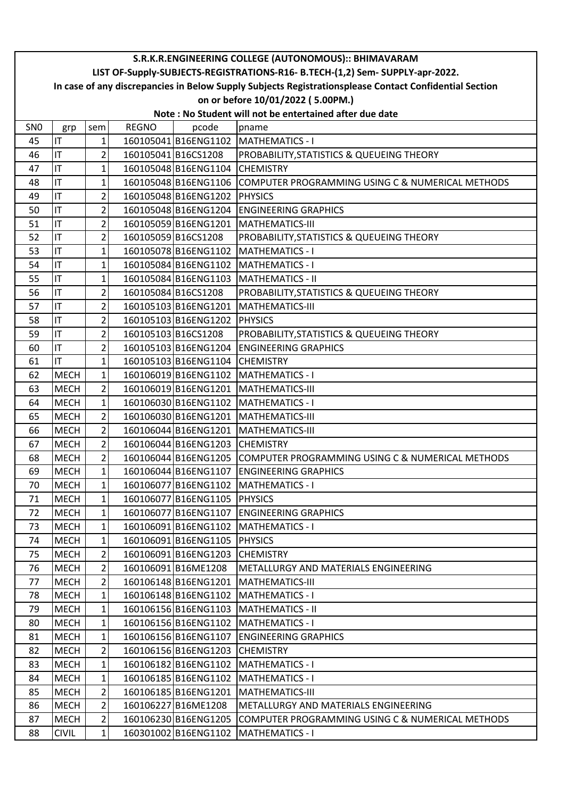|                                                                               |                                                                                                        |                         |              |                                | S.R.K.R.ENGINEERING COLLEGE (AUTONOMOUS):: BHIMAVARAM                 |  |  |  |  |
|-------------------------------------------------------------------------------|--------------------------------------------------------------------------------------------------------|-------------------------|--------------|--------------------------------|-----------------------------------------------------------------------|--|--|--|--|
| LIST OF-Supply-SUBJECTS-REGISTRATIONS-R16- B.TECH-(1,2) Sem- SUPPLY-apr-2022. |                                                                                                        |                         |              |                                |                                                                       |  |  |  |  |
|                                                                               | In case of any discrepancies in Below Supply Subjects Registrationsplease Contact Confidential Section |                         |              |                                |                                                                       |  |  |  |  |
| on or before 10/01/2022 (5.00PM.)                                             |                                                                                                        |                         |              |                                |                                                                       |  |  |  |  |
| Note: No Student will not be entertained after due date                       |                                                                                                        |                         |              |                                |                                                                       |  |  |  |  |
| SN <sub>0</sub>                                                               | grp                                                                                                    | sem                     | <b>REGNO</b> | pcode                          | pname                                                                 |  |  |  |  |
| 45                                                                            | IT                                                                                                     | 1                       |              |                                | 160105041 B16ENG1102 MATHEMATICS - I                                  |  |  |  |  |
| 46                                                                            | IT                                                                                                     | $\overline{2}$          |              | 160105041B16CS1208             | PROBABILITY, STATISTICS & QUEUEING THEORY                             |  |  |  |  |
| 47                                                                            | IT                                                                                                     | 1                       |              | 160105048 B16ENG1104 CHEMISTRY |                                                                       |  |  |  |  |
| 48                                                                            | IT                                                                                                     | 1                       |              |                                | 160105048 B16ENG1106 COMPUTER PROGRAMMING USING C & NUMERICAL METHODS |  |  |  |  |
| 49                                                                            | İП                                                                                                     | $\overline{2}$          |              | 160105048 B16ENG1202 PHYSICS   |                                                                       |  |  |  |  |
| 50                                                                            | IT                                                                                                     | $\overline{\mathbf{c}}$ |              | 160105048 B16ENG1204           | <b>ENGINEERING GRAPHICS</b>                                           |  |  |  |  |
| 51                                                                            | IT                                                                                                     | $\overline{2}$          |              | 160105059B16ENG1201            | MATHEMATICS-III                                                       |  |  |  |  |
| 52                                                                            | IT                                                                                                     | $\overline{2}$          |              | 160105059B16CS1208             | PROBABILITY, STATISTICS & QUEUEING THEORY                             |  |  |  |  |
| 53                                                                            | IT                                                                                                     | 1                       |              | 160105078B16ENG1102            | <b>MATHEMATICS - I</b>                                                |  |  |  |  |
| 54                                                                            | İП                                                                                                     | 1                       |              |                                | 160105084 B16ENG1102 MATHEMATICS - I                                  |  |  |  |  |
| 55                                                                            | IT                                                                                                     | 1                       |              | 160105084 B16ENG1103           | <b>MATHEMATICS - II</b>                                               |  |  |  |  |
| 56                                                                            | IT                                                                                                     | $\overline{c}$          |              | 160105084B16CS1208             | PROBABILITY, STATISTICS & QUEUEING THEORY                             |  |  |  |  |
| 57                                                                            | İП                                                                                                     | 2                       |              | 160105103B16ENG1201            | <b>MATHEMATICS-III</b>                                                |  |  |  |  |
| 58                                                                            | IT                                                                                                     | $\overline{2}$          |              | 160105103 B16ENG1202 PHYSICS   |                                                                       |  |  |  |  |
| 59                                                                            | IT                                                                                                     | $2\vert$                |              | 160105103 B16CS1208            | PROBABILITY, STATISTICS & QUEUEING THEORY                             |  |  |  |  |
| 60                                                                            | IT                                                                                                     | 2                       |              | 160105103 B16ENG1204           | <b>ENGINEERING GRAPHICS</b>                                           |  |  |  |  |
| 61                                                                            | IT                                                                                                     | 1                       |              | 160105103 B16ENG1104           | <b>CHEMISTRY</b>                                                      |  |  |  |  |
| 62                                                                            | <b>MECH</b>                                                                                            | $\mathbf 1$             |              |                                | 160106019 B16ENG1102 MATHEMATICS - I                                  |  |  |  |  |
| 63                                                                            | <b>MECH</b>                                                                                            | $\overline{2}$          |              |                                | 160106019 B16ENG1201 MATHEMATICS-III                                  |  |  |  |  |
| 64                                                                            | <b>MECH</b>                                                                                            | $\mathbf 1$             |              | 160106030 B16ENG1102           | <b>MATHEMATICS - I</b>                                                |  |  |  |  |
| 65                                                                            | <b>MECH</b>                                                                                            | $\overline{2}$          |              |                                | 160106030 B16ENG1201 MATHEMATICS-III                                  |  |  |  |  |
| 66                                                                            | <b>MECH</b>                                                                                            | $\overline{2}$          |              |                                | 160106044 B16ENG1201 MATHEMATICS-III                                  |  |  |  |  |
| 67                                                                            | <b>MECH</b>                                                                                            | $\overline{2}$          |              | 160106044 B16ENG1203           | <b>CHEMISTRY</b>                                                      |  |  |  |  |
| 68                                                                            | <b>MECH</b>                                                                                            | $\overline{2}$          |              | 160106044 B16ENG1205           | COMPUTER PROGRAMMING USING C & NUMERICAL METHODS                      |  |  |  |  |
| 69                                                                            | <b>MECH</b>                                                                                            | $1\vert$                |              | 160106044 B16ENG1107           | <b>ENGINEERING GRAPHICS</b>                                           |  |  |  |  |
| 70                                                                            | <b>MECH</b>                                                                                            | $\mathbf{1}$            |              |                                | 160106077 B16ENG1102 MATHEMATICS - I                                  |  |  |  |  |
| 71                                                                            | <b>MECH</b>                                                                                            | 1                       |              | 160106077 B16ENG1105 PHYSICS   |                                                                       |  |  |  |  |
| 72                                                                            | <b>MECH</b>                                                                                            | 1                       |              | 160106077 B16ENG1107           | <b>ENGINEERING GRAPHICS</b>                                           |  |  |  |  |
| 73                                                                            | <b>MECH</b>                                                                                            | $\mathbf{1}$            |              | 160106091 B16ENG1102           | <b>MATHEMATICS - I</b>                                                |  |  |  |  |
| 74                                                                            | <b>MECH</b>                                                                                            | 1                       |              | 160106091 B16ENG1105 PHYSICS   |                                                                       |  |  |  |  |
| 75                                                                            | <b>MECH</b>                                                                                            | 2                       |              | 160106091 B16ENG1203           | <b>CHEMISTRY</b>                                                      |  |  |  |  |
| 76                                                                            | <b>MECH</b>                                                                                            | 2                       |              | 160106091B16ME1208             | METALLURGY AND MATERIALS ENGINEERING                                  |  |  |  |  |
| 77                                                                            | <b>MECH</b>                                                                                            | $\overline{2}$          |              | 160106148 B16ENG1201           | <b>MATHEMATICS-III</b>                                                |  |  |  |  |
| 78                                                                            | <b>MECH</b>                                                                                            | $\mathbf{1}$            |              |                                | 160106148 B16ENG1102 MATHEMATICS - I                                  |  |  |  |  |
| 79                                                                            | <b>MECH</b>                                                                                            | 1                       |              | 160106156 B16ENG1103           | <b>MATHEMATICS - II</b>                                               |  |  |  |  |
| 80                                                                            | <b>MECH</b>                                                                                            | $\mathbf{1}$            |              |                                | 160106156 B16ENG1102 MATHEMATICS - I                                  |  |  |  |  |
| 81                                                                            | <b>MECH</b>                                                                                            | $\mathbf{1}$            |              | 160106156B16ENG1107            | <b>ENGINEERING GRAPHICS</b>                                           |  |  |  |  |
| 82                                                                            | <b>MECH</b>                                                                                            | 2                       |              | 160106156 B16ENG1203           | <b>CHEMISTRY</b>                                                      |  |  |  |  |
| 83                                                                            | <b>MECH</b>                                                                                            | 1                       |              | 160106182 B16ENG1102           | <b>MATHEMATICS - I</b>                                                |  |  |  |  |
| 84                                                                            | <b>MECH</b>                                                                                            | 1                       |              |                                | 160106185 B16ENG1102 MATHEMATICS - I                                  |  |  |  |  |
| 85                                                                            | <b>MECH</b>                                                                                            | $\overline{2}$          |              | 160106185 B16ENG1201           | <b>MATHEMATICS-III</b>                                                |  |  |  |  |
| 86                                                                            | <b>MECH</b>                                                                                            | $\overline{2}$          |              | 160106227 B16ME1208            | METALLURGY AND MATERIALS ENGINEERING                                  |  |  |  |  |
| 87                                                                            | <b>MECH</b>                                                                                            | $\overline{2}$          |              | 160106230B16ENG1205            | COMPUTER PROGRAMMING USING C & NUMERICAL METHODS                      |  |  |  |  |
| 88                                                                            | <b>CIVIL</b>                                                                                           | 1                       |              | 160301002 B16ENG1102           | <b>MATHEMATICS - I</b>                                                |  |  |  |  |